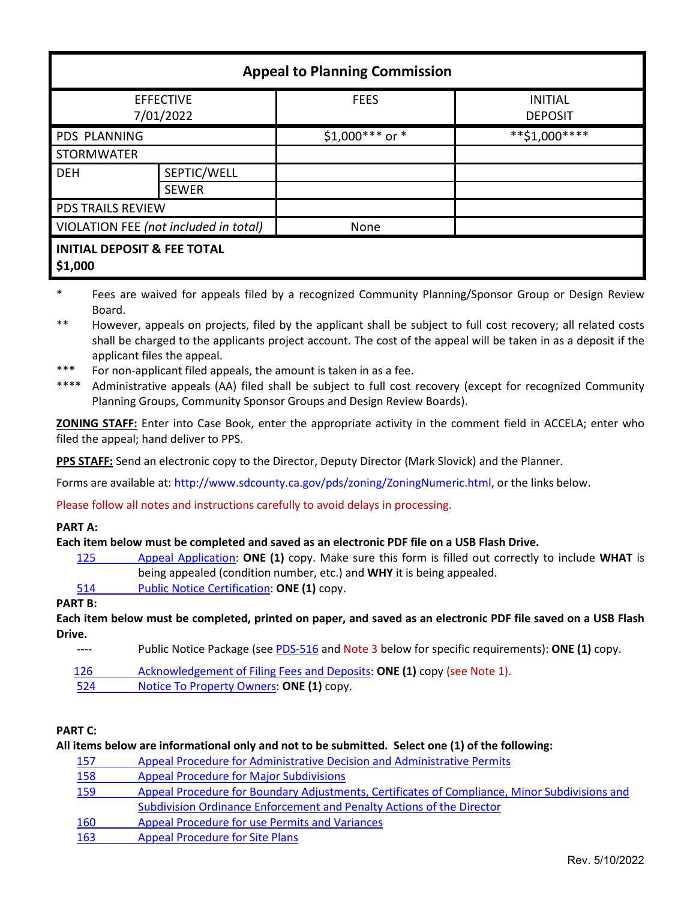| <b>Appeal to Planning Commission</b>              |                             |                  |                                  |  |
|---------------------------------------------------|-----------------------------|------------------|----------------------------------|--|
| <b>EFFECTIVE</b><br>7/01/2022                     |                             | <b>FEES</b>      | <b>INITIAL</b><br><b>DEPOSIT</b> |  |
| <b>PDS PLANNING</b>                               |                             | $$1,000***$ or * | **\$1,000****                    |  |
| <b>STORMWATER</b>                                 |                             |                  |                                  |  |
| <b>DEH</b>                                        | SEPTIC/WELL<br><b>SEWER</b> |                  |                                  |  |
| <b>PDS TRAILS REVIEW</b>                          |                             |                  |                                  |  |
| VIOLATION FEE (not included in total)             |                             | None             |                                  |  |
| <b>INITIAL DEPOSIT &amp; FEE TOTAL</b><br>\$1,000 |                             |                  |                                  |  |

- \* Fees are waived for appeals filed by a recognized Community Planning/Sponsor Group or Design Review Board.
- \*\* However, appeals on projects, filed by the applicant shall be subject to full cost recovery; all related costs shall be charged to the applicants project account. The cost of the appeal will be taken in as a deposit if the applicant files the appeal.
- \*\*\* For non-applicant filed appeals, the amount is taken in as a fee.

\*\*\*\* Administrative appeals (AA) filed shall be subject to full cost recovery (except for recognized Community Planning Groups, Community Sponsor Groups and Design Review Boards).

**ZONING STAFF:** Enter into Case Book, enter the appropriate activity in the comment field in ACCELA; enter who filed the appeal; hand deliver to PPS.

**PPS STAFF:** Send an electronic copy to the Director, Deputy Director (Mark Slovick) and the Planner.

Forms are available at: [http://www.sdcounty.ca.gov/pds/zoning/ZoningNumeric.html,](http://www.sdcounty.ca.gov/pds/zoning/ZoningNumeric.html) or the links below.

Please follow all notes and instructions carefully to avoid delays in processing.

#### **PART A:**

#### **Each item below must be completed and saved as an electronic PDF file on a USB Flash Drive.**

- 125 [Appeal Application:](https://www.sandiegocounty.gov/content/dam/sdc/pds/zoning/formfields/PDS-PLN-125.pdf) **ONE (1)** copy. Make sure this form is filled out correctly to include **WHAT** is being appealed (condition number, etc.) and **WHY** it is being appealed.
- 514 [Public Notice Certification:](http://www.sdcounty.ca.gov/pds/zoning/formfields/PDS-PLN-514.pdf) **ONE (1)** copy.

**PART B:**

**Each item below must be completed, printed on paper, and saved as an electronic PDF file saved on a USB Flash Drive.**

- ---- Public Notice Package (se[e PDS-516](https://www.sandiegocounty.gov/pds/zoning/formfields/PDS-PLN-516.pdf) and Note 3 below for specific requirements): **ONE (1)** copy.
- [126 Acknowledgement of Filing](https://www.sandiegocounty.gov/content/dam/sdc/pds/zoning/formfields/PDS-PLN-126.pdf) Fees and Deposits: **ONE (1)** copy (see Note 1).
- 524 [Notice To Property Owners:](http://www.sdcounty.ca.gov/pds/zoning/formfields/PDS-PLN-524.pdf) **ONE (1)** copy.

## **PART C:**

|     | All items below are informational only and not to be submitted. Select one (1) of the following: |
|-----|--------------------------------------------------------------------------------------------------|
| 157 | Appeal Procedure for Administrative Decision and Administrative Permits                          |
| 158 | <b>Appeal Procedure for Major Subdivisions</b>                                                   |
| 159 | Appeal Procedure for Boundary Adjustments, Certificates of Compliance, Minor Subdivisions and    |
|     | Subdivision Ordinance Enforcement and Penalty Actions of the Director                            |
| 160 | <b>Appeal Procedure for use Permits and Variances</b>                                            |
| 163 | <b>Appeal Procedure for Site Plans</b>                                                           |